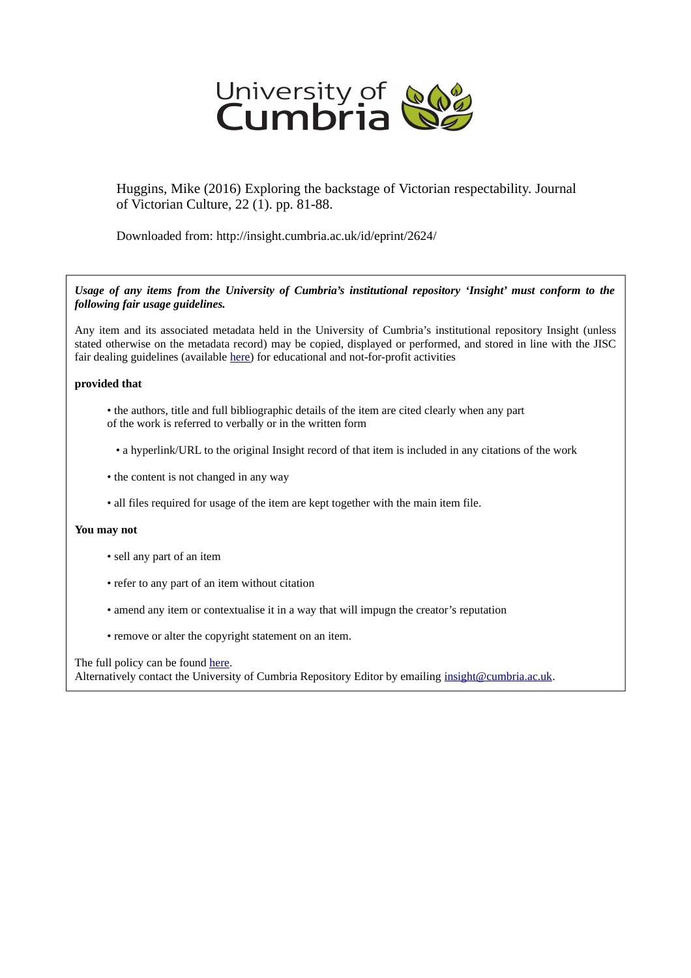

Huggins, Mike (2016) Exploring the backstage of Victorian respectability. Journal of Victorian Culture, 22 (1). pp. 81-88.

Downloaded from: http://insight.cumbria.ac.uk/id/eprint/2624/

*Usage of any items from the University of Cumbria's institutional repository 'Insight' must conform to the following fair usage guidelines.*

Any item and its associated metadata held in the University of Cumbria's institutional repository Insight (unless stated otherwise on the metadata record) may be copied, displayed or performed, and stored in line with the JISC fair dealing guidelines (available [here\)](http://www.ukoln.ac.uk/services/elib/papers/pa/fair/) for educational and not-for-profit activities

## **provided that**

- the authors, title and full bibliographic details of the item are cited clearly when any part of the work is referred to verbally or in the written form
	- a hyperlink/URL to the original Insight record of that item is included in any citations of the work
- the content is not changed in any way
- all files required for usage of the item are kept together with the main item file.

## **You may not**

- sell any part of an item
- refer to any part of an item without citation
- amend any item or contextualise it in a way that will impugn the creator's reputation
- remove or alter the copyright statement on an item.

The full policy can be found [here.](http://insight.cumbria.ac.uk/legal.html#section5)

Alternatively contact the University of Cumbria Repository Editor by emailing [insight@cumbria.ac.uk.](mailto:insight@cumbria.ac.uk)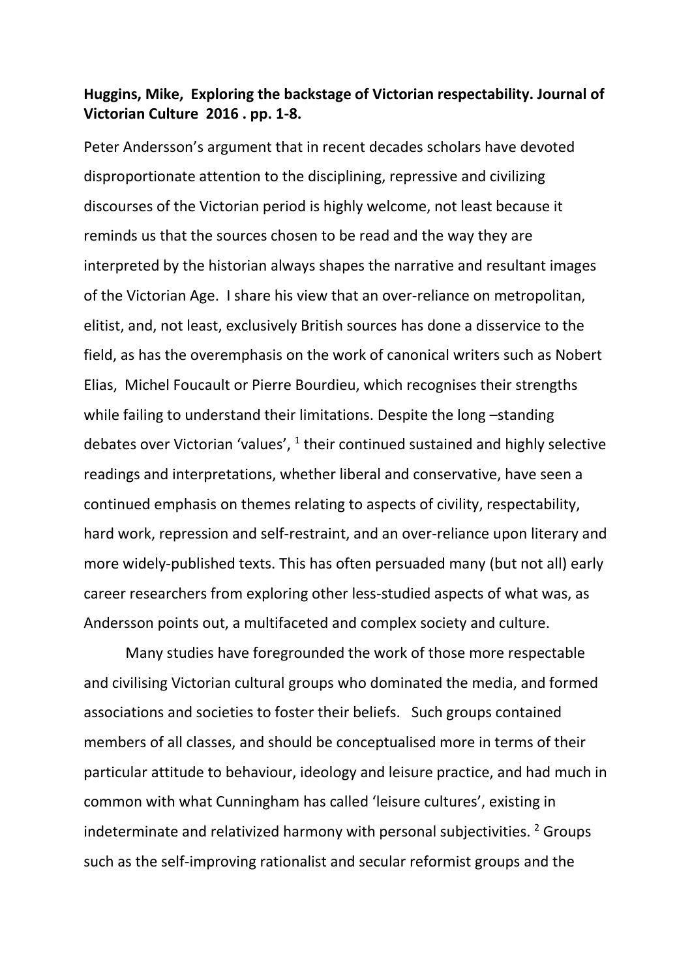## **Huggins, Mike, Exploring the backstage of Victorian respectability. Journal of Victorian Culture 2016 . pp. 1-8.**

Peter Andersson's argument that in recent decades scholars have devoted disproportionate attention to the disciplining, repressive and civilizing discourses of the Victorian period is highly welcome, not least because it reminds us that the sources chosen to be read and the way they are interpreted by the historian always shapes the narrative and resultant images of the Victorian Age. I share his view that an over-reliance on metropolitan, elitist, and, not least, exclusively British sources has done a disservice to the field, as has the overemphasis on the work of canonical writers such as Nobert Elias, Michel Foucault or Pierre Bourdieu, which recognises their strengths while failing to understand their limitations. Despite the long-standing debates over Victorian 'values',  $1$  their continued sustained and highly selective readings and interpretations, whether liberal and conservative, have seen a continued emphasis on themes relating to aspects of civility, respectability, hard work, repression and self-restraint, and an over-reliance upon literary and more widely-published texts. This has often persuaded many (but not all) early career researchers from exploring other less-studied aspects of what was, as Andersson points out, a multifaceted and complex society and culture.

Many studies have foregrounded the work of those more respectable and civilising Victorian cultural groups who dominated the media, and formed associations and societies to foster their beliefs. Such groups contained members of all classes, and should be conceptualised more in terms of their particular attitude to behaviour, ideology and leisure practice, and had much in common with what Cunningham has called 'leisure cultures', existing in indeterminate and relativized harmony with personal subjectivities. <sup>2</sup> Groups such as the self-improving rationalist and secular reformist groups and the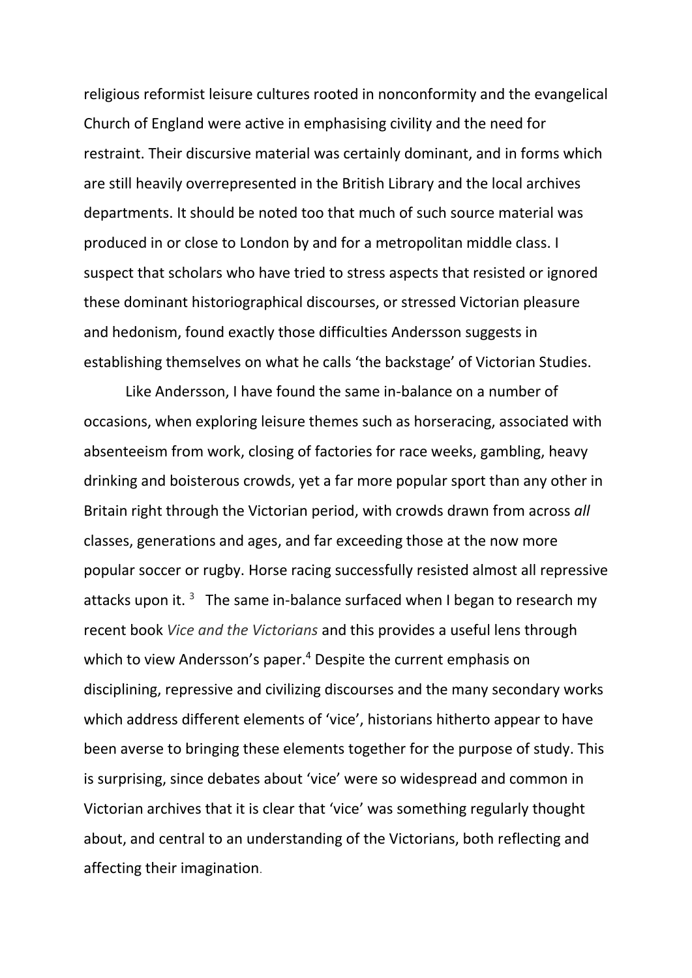religious reformist leisure cultures rooted in nonconformity and the evangelical Church of England were active in emphasising civility and the need for restraint. Their discursive material was certainly dominant, and in forms which are still heavily overrepresented in the British Library and the local archives departments. It should be noted too that much of such source material was produced in or close to London by and for a metropolitan middle class. I suspect that scholars who have tried to stress aspects that resisted or ignored these dominant historiographical discourses, or stressed Victorian pleasure and hedonism, found exactly those difficulties Andersson suggests in establishing themselves on what he calls 'the backstage' of Victorian Studies.

Like Andersson, I have found the same in-balance on a number of occasions, when exploring leisure themes such as horseracing, associated with absenteeism from work, closing of factories for race weeks, gambling, heavy drinking and boisterous crowds, yet a far more popular sport than any other in Britain right through the Victorian period, with crowds drawn from across *all* classes, generations and ages, and far exceeding those at the now more popular soccer or rugby. Horse racing successfully resisted almost all repressive attacks upon it.  $3$  The same in-balance surfaced when I began to research my recent book *Vice and the Victorians* and this provides a useful lens through which to view Andersson's paper.<sup>4</sup> Despite the current emphasis on disciplining, repressive and civilizing discourses and the many secondary works which address different elements of 'vice', historians hitherto appear to have been averse to bringing these elements together for the purpose of study. This is surprising, since debates about 'vice' were so widespread and common in Victorian archives that it is clear that 'vice' was something regularly thought about, and central to an understanding of the Victorians, both reflecting and affecting their imagination.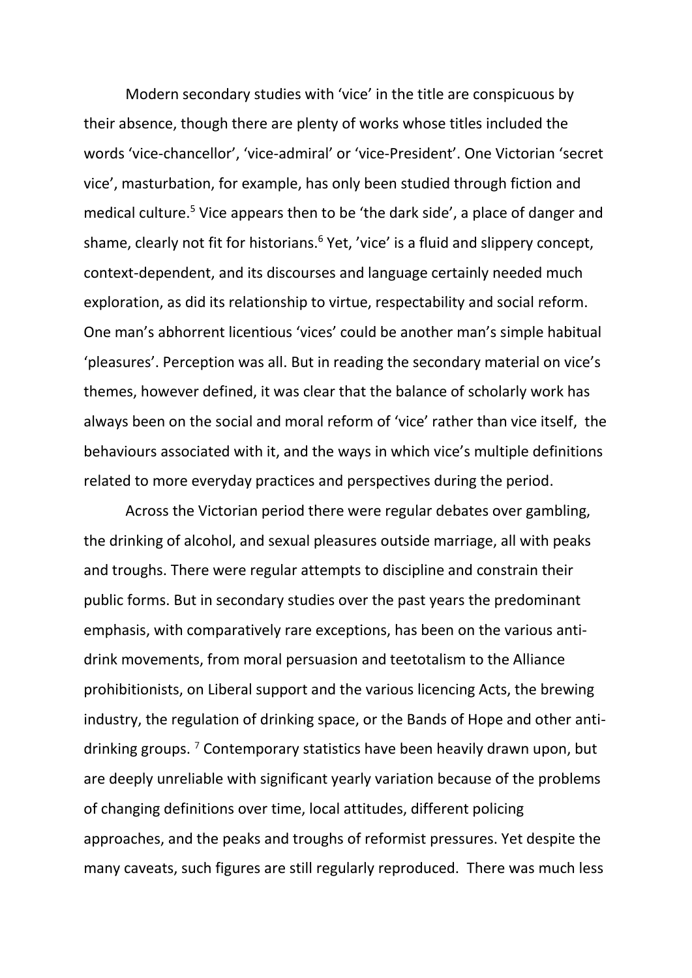Modern secondary studies with 'vice' in the title are conspicuous by their absence, though there are plenty of works whose titles included the words 'vice-chancellor', 'vice-admiral' or 'vice-President'. One Victorian 'secret vice', masturbation, for example, has only been studied through fiction and medical culture.<sup>5</sup> Vice appears then to be 'the dark side', a place of danger and shame, clearly not fit for historians.<sup>6</sup> Yet, 'vice' is a fluid and slippery concept, context-dependent, and its discourses and language certainly needed much exploration, as did its relationship to virtue, respectability and social reform. One man's abhorrent licentious 'vices' could be another man's simple habitual 'pleasures'. Perception was all. But in reading the secondary material on vice's themes, however defined, it was clear that the balance of scholarly work has always been on the social and moral reform of 'vice' rather than vice itself, the behaviours associated with it, and the ways in which vice's multiple definitions related to more everyday practices and perspectives during the period.

Across the Victorian period there were regular debates over gambling, the drinking of alcohol, and sexual pleasures outside marriage, all with peaks and troughs. There were regular attempts to discipline and constrain their public forms. But in secondary studies over the past years the predominant emphasis, with comparatively rare exceptions, has been on the various antidrink movements, from moral persuasion and teetotalism to the Alliance prohibitionists, on Liberal support and the various licencing Acts, the brewing industry, the regulation of drinking space, or the Bands of Hope and other antidrinking groups.<sup>7</sup> Contemporary statistics have been heavily drawn upon, but are deeply unreliable with significant yearly variation because of the problems of changing definitions over time, local attitudes, different policing approaches, and the peaks and troughs of reformist pressures. Yet despite the many caveats, such figures are still regularly reproduced. There was much less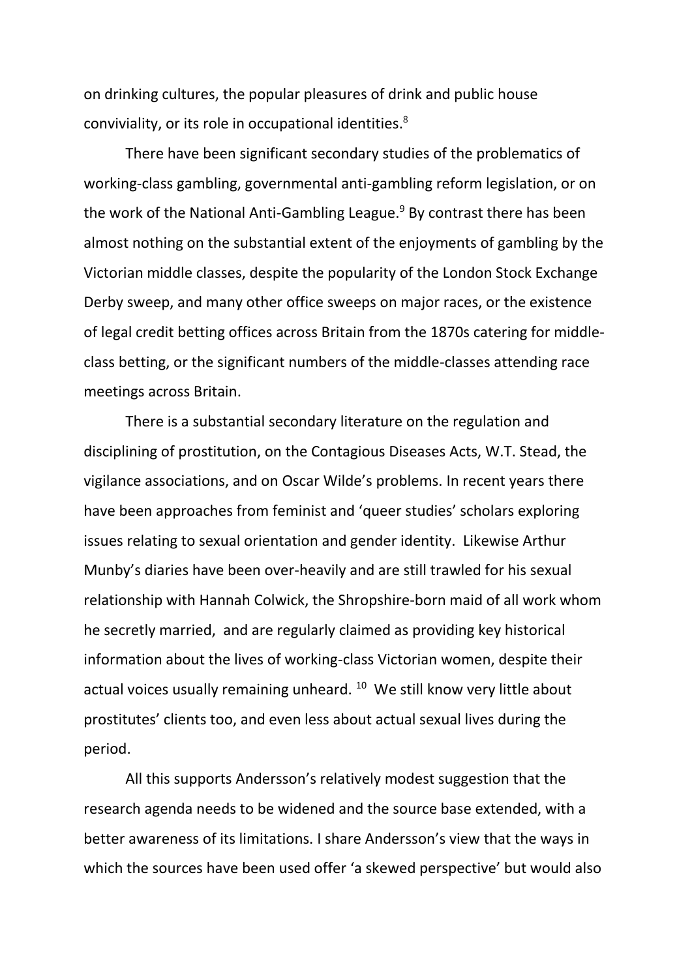on drinking cultures, the popular pleasures of drink and public house conviviality, or its role in occupational identities.<sup>8</sup>

There have been significant secondary studies of the problematics of working-class gambling, governmental anti-gambling reform legislation, or on the work of the National Anti-Gambling League.<sup>9</sup> By contrast there has been almost nothing on the substantial extent of the enjoyments of gambling by the Victorian middle classes, despite the popularity of the London Stock Exchange Derby sweep, and many other office sweeps on major races, or the existence of legal credit betting offices across Britain from the 1870s catering for middleclass betting, or the significant numbers of the middle-classes attending race meetings across Britain.

There is a substantial secondary literature on the regulation and disciplining of prostitution, on the Contagious Diseases Acts, W.T. Stead, the vigilance associations, and on Oscar Wilde's problems. In recent years there have been approaches from feminist and 'queer studies' scholars exploring issues relating to sexual orientation and gender identity. Likewise Arthur Munby's diaries have been over-heavily and are still trawled for his sexual relationship with Hannah Colwick, the Shropshire-born maid of all work whom he secretly married, and are regularly claimed as providing key historical information about the lives of working-class Victorian women, despite their actual voices usually remaining unheard. <sup>10</sup> We still know very little about prostitutes' clients too, and even less about actual sexual lives during the period.

All this supports Andersson's relatively modest suggestion that the research agenda needs to be widened and the source base extended, with a better awareness of its limitations. I share Andersson's view that the ways in which the sources have been used offer 'a skewed perspective' but would also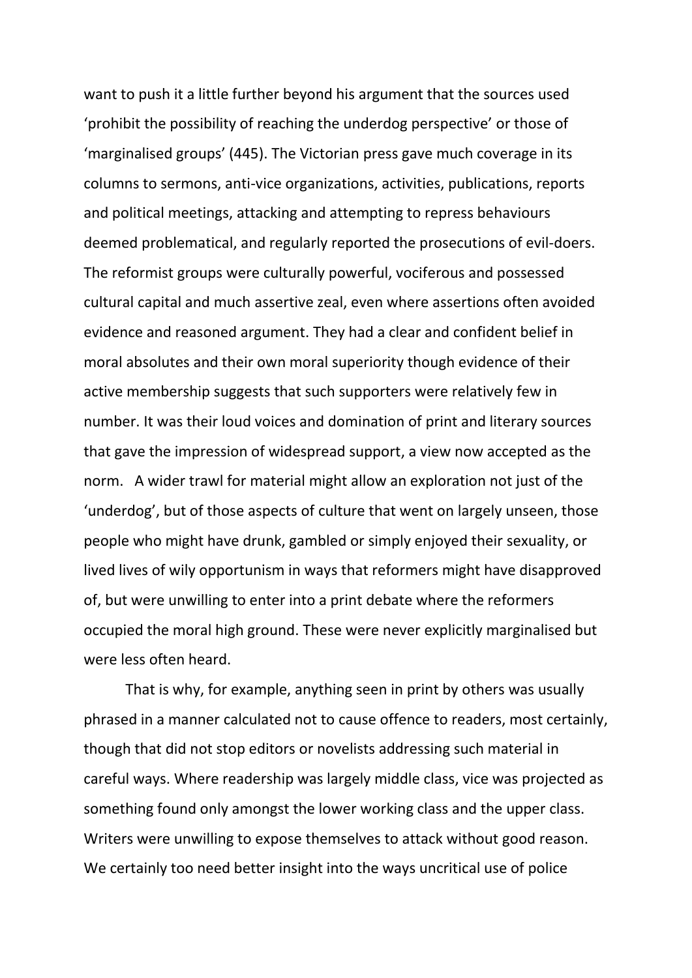want to push it a little further beyond his argument that the sources used 'prohibit the possibility of reaching the underdog perspective' or those of 'marginalised groups' (445). The Victorian press gave much coverage in its columns to sermons, anti-vice organizations, activities, publications, reports and political meetings, attacking and attempting to repress behaviours deemed problematical, and regularly reported the prosecutions of evil-doers. The reformist groups were culturally powerful, vociferous and possessed cultural capital and much assertive zeal, even where assertions often avoided evidence and reasoned argument. They had a clear and confident belief in moral absolutes and their own moral superiority though evidence of their active membership suggests that such supporters were relatively few in number. It was their loud voices and domination of print and literary sources that gave the impression of widespread support, a view now accepted as the norm. A wider trawl for material might allow an exploration not just of the 'underdog', but of those aspects of culture that went on largely unseen, those people who might have drunk, gambled or simply enjoyed their sexuality, or lived lives of wily opportunism in ways that reformers might have disapproved of, but were unwilling to enter into a print debate where the reformers occupied the moral high ground. These were never explicitly marginalised but were less often heard.

That is why, for example, anything seen in print by others was usually phrased in a manner calculated not to cause offence to readers, most certainly, though that did not stop editors or novelists addressing such material in careful ways. Where readership was largely middle class, vice was projected as something found only amongst the lower working class and the upper class. Writers were unwilling to expose themselves to attack without good reason. We certainly too need better insight into the ways uncritical use of police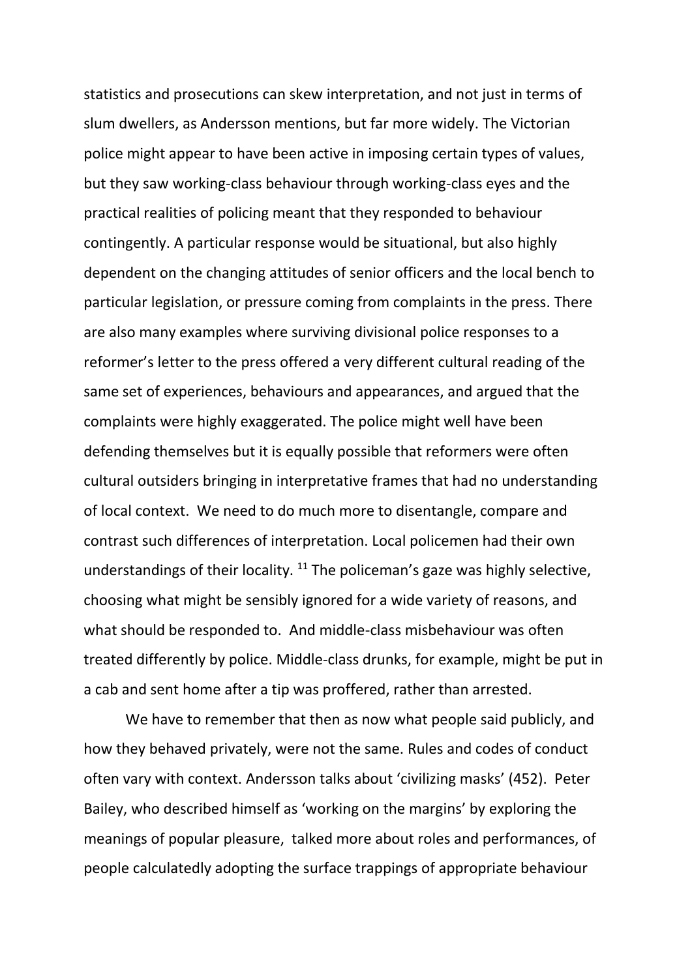statistics and prosecutions can skew interpretation, and not just in terms of slum dwellers, as Andersson mentions, but far more widely. The Victorian police might appear to have been active in imposing certain types of values, but they saw working-class behaviour through working-class eyes and the practical realities of policing meant that they responded to behaviour contingently. A particular response would be situational, but also highly dependent on the changing attitudes of senior officers and the local bench to particular legislation, or pressure coming from complaints in the press. There are also many examples where surviving divisional police responses to a reformer's letter to the press offered a very different cultural reading of the same set of experiences, behaviours and appearances, and argued that the complaints were highly exaggerated. The police might well have been defending themselves but it is equally possible that reformers were often cultural outsiders bringing in interpretative frames that had no understanding of local context. We need to do much more to disentangle, compare and contrast such differences of interpretation. Local policemen had their own understandings of their locality. <sup>11</sup> The policeman's gaze was highly selective, choosing what might be sensibly ignored for a wide variety of reasons, and what should be responded to. And middle-class misbehaviour was often treated differently by police. Middle-class drunks, for example, might be put in a cab and sent home after a tip was proffered, rather than arrested.

We have to remember that then as now what people said publicly, and how they behaved privately, were not the same. Rules and codes of conduct often vary with context. Andersson talks about 'civilizing masks' (452). Peter Bailey, who described himself as 'working on the margins' by exploring the meanings of popular pleasure, talked more about roles and performances, of people calculatedly adopting the surface trappings of appropriate behaviour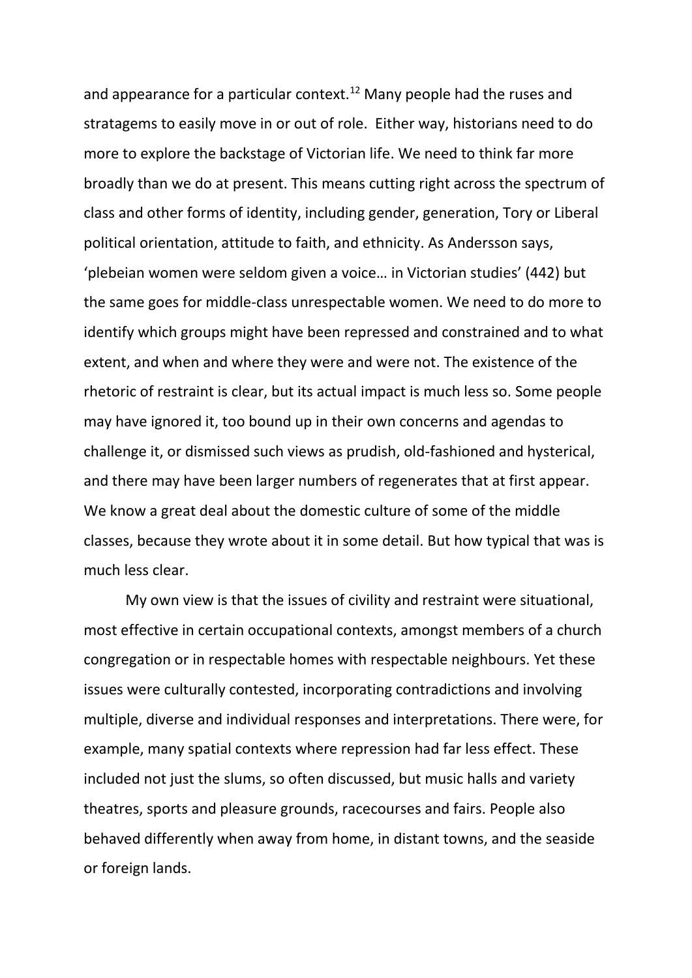and appearance for a particular context.<sup>12</sup> Many people had the ruses and stratagems to easily move in or out of role. Either way, historians need to do more to explore the backstage of Victorian life. We need to think far more broadly than we do at present. This means cutting right across the spectrum of class and other forms of identity, including gender, generation, Tory or Liberal political orientation, attitude to faith, and ethnicity. As Andersson says, 'plebeian women were seldom given a voice… in Victorian studies' (442) but the same goes for middle-class unrespectable women. We need to do more to identify which groups might have been repressed and constrained and to what extent, and when and where they were and were not. The existence of the rhetoric of restraint is clear, but its actual impact is much less so. Some people may have ignored it, too bound up in their own concerns and agendas to challenge it, or dismissed such views as prudish, old-fashioned and hysterical, and there may have been larger numbers of regenerates that at first appear. We know a great deal about the domestic culture of some of the middle classes, because they wrote about it in some detail. But how typical that was is much less clear.

My own view is that the issues of civility and restraint were situational, most effective in certain occupational contexts, amongst members of a church congregation or in respectable homes with respectable neighbours. Yet these issues were culturally contested, incorporating contradictions and involving multiple, diverse and individual responses and interpretations. There were, for example, many spatial contexts where repression had far less effect. These included not just the slums, so often discussed, but music halls and variety theatres, sports and pleasure grounds, racecourses and fairs. People also behaved differently when away from home, in distant towns, and the seaside or foreign lands.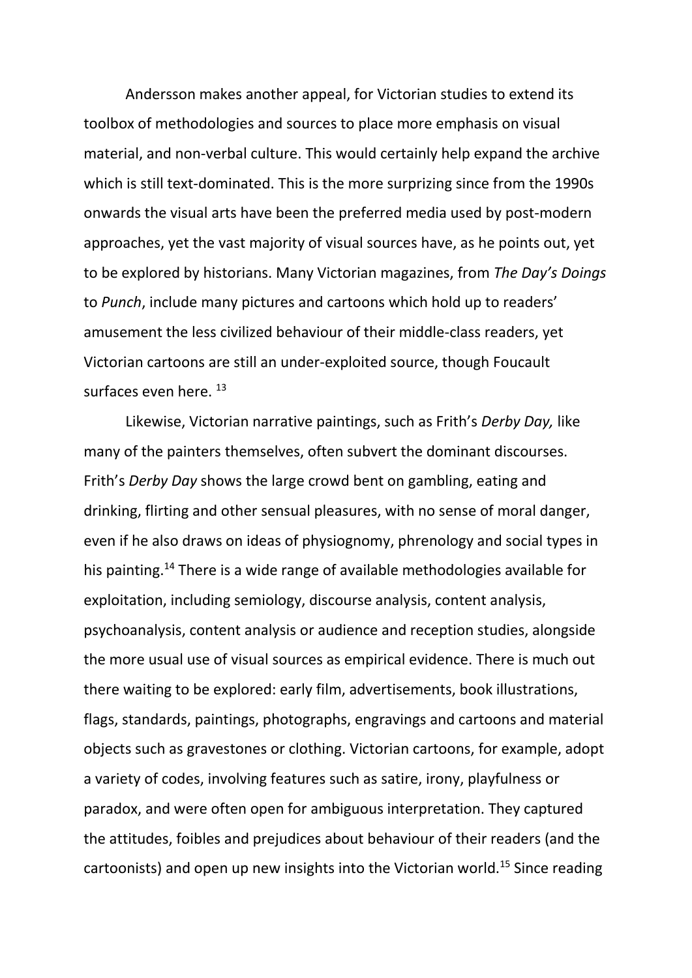Andersson makes another appeal, for Victorian studies to extend its toolbox of methodologies and sources to place more emphasis on visual material, and non-verbal culture. This would certainly help expand the archive which is still text-dominated. This is the more surprizing since from the 1990s onwards the visual arts have been the preferred media used by post-modern approaches, yet the vast majority of visual sources have, as he points out, yet to be explored by historians. Many Victorian magazines, from *The Day's Doings* to *Punch*, include many pictures and cartoons which hold up to readers' amusement the less civilized behaviour of their middle-class readers, yet Victorian cartoons are still an under-exploited source, though Foucault surfaces even here. 13

Likewise, Victorian narrative paintings, such as Frith's *Derby Day,* like many of the painters themselves, often subvert the dominant discourses. Frith's *Derby Day* shows the large crowd bent on gambling, eating and drinking, flirting and other sensual pleasures, with no sense of moral danger, even if he also draws on ideas of physiognomy, phrenology and social types in his painting.<sup>14</sup> There is a wide range of available methodologies available for exploitation, including semiology, discourse analysis, content analysis, psychoanalysis, content analysis or audience and reception studies, alongside the more usual use of visual sources as empirical evidence. There is much out there waiting to be explored: early film, advertisements, book illustrations, flags, standards, paintings, photographs, engravings and cartoons and material objects such as gravestones or clothing. Victorian cartoons, for example, adopt a variety of codes, involving features such as satire, irony, playfulness or paradox, and were often open for ambiguous interpretation. They captured the attitudes, foibles and prejudices about behaviour of their readers (and the cartoonists) and open up new insights into the Victorian world.<sup>15</sup> Since reading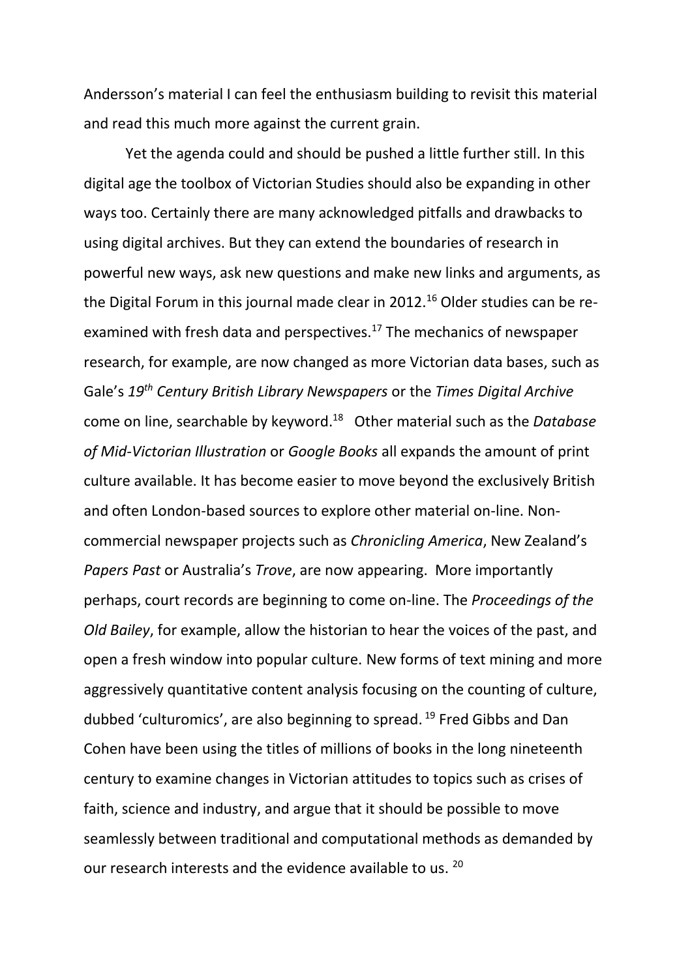Andersson's material I can feel the enthusiasm building to revisit this material and read this much more against the current grain.

Yet the agenda could and should be pushed a little further still. In this digital age the toolbox of Victorian Studies should also be expanding in other ways too. Certainly there are many acknowledged pitfalls and drawbacks to using digital archives. But they can extend the boundaries of research in powerful new ways, ask new questions and make new links and arguments, as the Digital Forum in this journal made clear in 2012.<sup>16</sup> Older studies can be reexamined with fresh data and perspectives.<sup>17</sup> The mechanics of newspaper research, for example, are now changed as more Victorian data bases, such as Gale's *19th Century British Library Newspapers* or the *Times Digital Archive* come on line, searchable by keyword. 18 Other material such as the *Database of Mid-Victorian Illustration* or *Google Books* all expands the amount of print culture available. It has become easier to move beyond the exclusively British and often London-based sources to explore other material on-line. Noncommercial newspaper projects such as *Chronicling America*, New Zealand's *Papers Past* or Australia's *Trove*, are now appearing. More importantly perhaps, court records are beginning to come on-line. The *Proceedings of the Old Bailey*, for example, allow the historian to hear the voices of the past, and open a fresh window into popular culture. New forms of text mining and more aggressively quantitative content analysis focusing on the counting of culture, dubbed 'culturomics', are also beginning to spread. <sup>19</sup> Fred Gibbs and Dan Cohen have been using the titles of millions of books in the long nineteenth century to examine changes in Victorian attitudes to topics such as crises of faith, science and industry, and argue that it should be possible to move seamlessly between traditional and computational methods as demanded by our research interests and the evidence available to us. <sup>20</sup>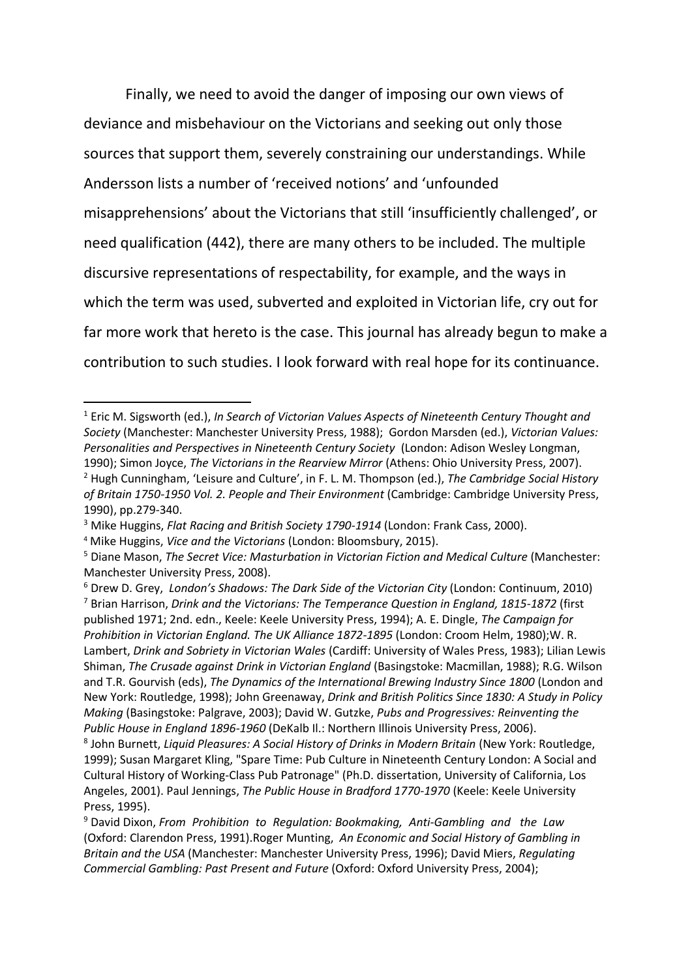Finally, we need to avoid the danger of imposing our own views of deviance and misbehaviour on the Victorians and seeking out only those sources that support them, severely constraining our understandings. While Andersson lists a number of 'received notions' and 'unfounded misapprehensions' about the Victorians that still 'insufficiently challenged', or need qualification (442), there are many others to be included. The multiple discursive representations of respectability, for example, and the ways in which the term was used, subverted and exploited in Victorian life, cry out for far more work that hereto is the case. This journal has already begun to make a contribution to such studies. I look forward with real hope for its continuance.

**.** 

<sup>1</sup> Eric M. Sigsworth (ed.), *In Search of Victorian Values Aspects of Nineteenth Century Thought and Society* (Manchester: Manchester University Press, 1988); Gordon Marsden (ed.), *Victorian Values: Personalities and Perspectives in Nineteenth Century Society* (London: Adison Wesley Longman, 1990); Simon Joyce, *The Victorians in the Rearview Mirror* (Athens: Ohio University Press, 2007).

<sup>2</sup> Hugh Cunningham, 'Leisure and Culture', in F. L. M. Thompson (ed.), *The Cambridge Social History of Britain 1750-1950 Vol. 2. People and Their Environment* (Cambridge: Cambridge University Press, 1990), pp.279-340.

<sup>3</sup> Mike Huggins, *Flat Racing and British Society 1790-1914* (London: Frank Cass, 2000).

<sup>4</sup> Mike Huggins, *Vice and the Victorians* (London: Bloomsbury, 2015).

<sup>5</sup> Diane Mason, *The Secret Vice: Masturbation in Victorian Fiction and Medical Culture* (Manchester: Manchester University Press, 2008).

<sup>6</sup> Drew D. Grey, *London's Shadows: The Dark Side of the Victorian City* (London: Continuum, 2010)

<sup>7</sup> Brian Harrison, *Drink and the Victorians: The Temperance Question in England, 1815-1872* (first published 1971; 2nd. edn., Keele: Keele University Press, 1994); A. E. Dingle, *The Campaign for Prohibition in Victorian England. The UK Alliance 1872-1895* (London: Croom Helm, 1980);W. R. Lambert, *Drink and Sobriety in Victorian Wales* (Cardiff: University of Wales Press, 1983); Lilian Lewis Shiman, *The Crusade against Drink in Victorian England* (Basingstoke: Macmillan, 1988); R.G. Wilson and T.R. Gourvish (eds), *The Dynamics of the International Brewing Industry Since 1800* (London and New York: Routledge, 1998); John Greenaway, *Drink and British Politics Since 1830: A Study in Policy Making* (Basingstoke: Palgrave, 2003); David W. Gutzke, *Pubs and Progressives: Reinventing the Public House in England 1896-1960* (DeKalb Il.: Northern Illinois University Press, 2006).

<sup>8</sup> John Burnett, *Liquid Pleasures: A Social History of Drinks in Modern Britain* (New York: Routledge, 1999); Susan Margaret Kling, "Spare Time: Pub Culture in Nineteenth Century London: A Social and Cultural History of Working-Class Pub Patronage" (Ph.D. dissertation, University of California, Los Angeles, 2001). Paul Jennings, *The Public House in Bradford 1770-1970* (Keele: Keele University Press, 1995).

<sup>9</sup> David Dixon, *From Prohibition to Regulation: Bookmaking, Anti-Gambling and the Law* (Oxford: Clarendon Press, 1991).Roger Munting, *An Economic and Social History of Gambling in Britain and the USA* (Manchester: Manchester University Press, 1996); David Miers, *Regulating Commercial Gambling: Past Present and Future* (Oxford: Oxford University Press, 2004);